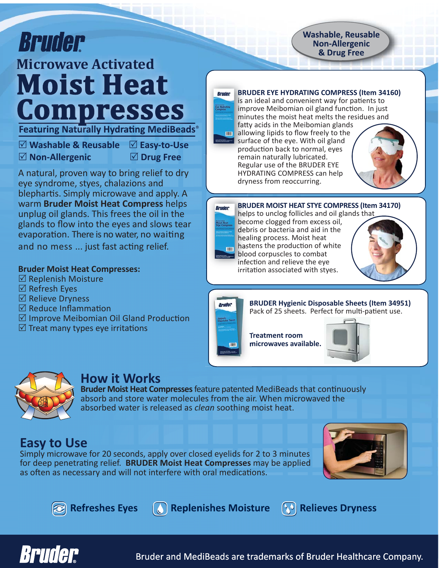# **Bruder Microwave Activated Moist Heat<br>Compresses Featuring Naturally Hydrating MediBeads**

5 **Washable & Reusable** 5 **Easy-to-Use** 5 **Non-Allergenic** 5 **Drug Free**

A natural, proven way to bring relief to dry eye syndrome, styes, chalazions and blephartis. Simply microwave and apply. A warm **Bruder Moist Heat Compress** helps unplug oil glands. This frees the oil in the glands to flow into the eyes and slows tear evaporation. There is no water, no waiting and no mess ... just fast acting relief.

#### **Bruder Moist Heat Compresses:**

- $\boxtimes$  Replenish Moisture
- $\boxtimes$  Refresh Eyes
- $\boxtimes$  Relieve Dryness
- $\boxtimes$  Reduce Inflammation
- $\boxtimes$  Improve Meibomian Oil Gland Production
- $\boxtimes$  Treat many types eye irritations



#### **BRUDER EYE HYDRATING COMPRESS (Item 34160)**

**Washable, Reusable Non-Allergenic** & Drug Free

is an ideal and convenient way for patients to improve Meibomian oil gland function. In just minutes the moist heat melts the residues and fatty acids in the Meibomian glands

allowing lipids to flow freely to the surface of the eye. With oil gland production back to normal, eyes remain naturally lubricated. Regular use of the BRUDER EYE HYDRATING COMPRESS can help dryness from reoccurring.



#### **BRUDER MOIST HEAT STYE COMPRESS (Item 34170) Bruder**

helps to unclog follicles and oil glands that become clogged from excess oil, debris or bacteria and aid in the healing process. Moist heat hastens the production of white blood corpuscles to combat infection and relieve the eye irritation associated with styes.





Bruder

**Treatment room** 





# **How it Works**

**Bruder Moist Heat Compresses** feature patented MediBeads that continuously absorb and store water molecules from the air. When microwaved the absorbed water is released as *clean* soothing moist heat.

# **Easy to Use**

Simply microwave for 20 seconds, apply over closed eyelids for 2 to 3 minutes for deep penetrating relief. **BRUDER Moist Heat Compresses** may be applied as often as necessary and will not interfere with oral medications.





**Replenishes Moisture 20 Relieves Dryness** 



Bruder and MediBeads are trademarks of Bruder Healthcare Company.